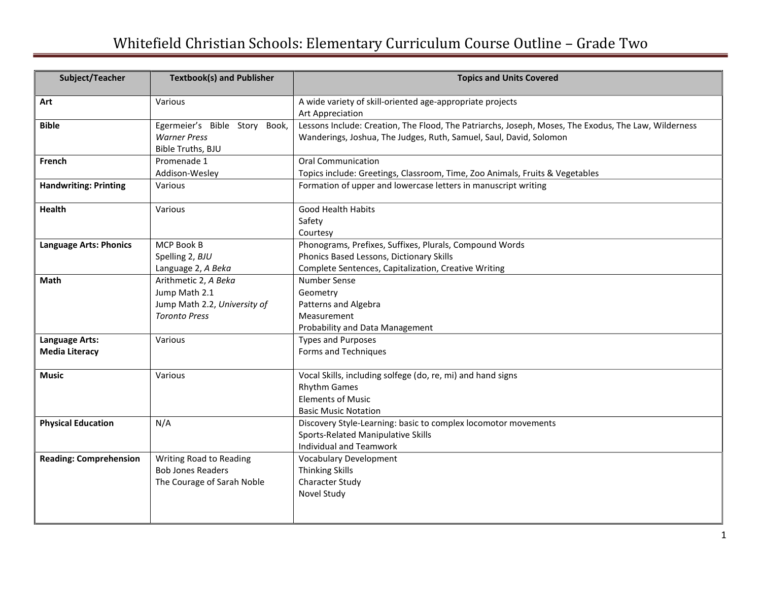## Whitefield Christian Schools: Elementary Curriculum Course Outline – Grade Two

| Subject/Teacher                         | <b>Textbook(s) and Publisher</b>                                                              | <b>Topics and Units Covered</b>                                                                                                                                            |
|-----------------------------------------|-----------------------------------------------------------------------------------------------|----------------------------------------------------------------------------------------------------------------------------------------------------------------------------|
| Art                                     | Various                                                                                       | A wide variety of skill-oriented age-appropriate projects<br>Art Appreciation                                                                                              |
| <b>Bible</b>                            | Egermeier's Bible Story Book,<br><b>Warner Press</b><br>Bible Truths, BJU                     | Lessons Include: Creation, The Flood, The Patriarchs, Joseph, Moses, The Exodus, The Law, Wilderness<br>Wanderings, Joshua, The Judges, Ruth, Samuel, Saul, David, Solomon |
| French                                  | Promenade 1<br>Addison-Wesley                                                                 | <b>Oral Communication</b><br>Topics include: Greetings, Classroom, Time, Zoo Animals, Fruits & Vegetables                                                                  |
| <b>Handwriting: Printing</b>            | Various                                                                                       | Formation of upper and lowercase letters in manuscript writing                                                                                                             |
| <b>Health</b>                           | Various                                                                                       | Good Health Habits<br>Safety<br>Courtesy                                                                                                                                   |
| <b>Language Arts: Phonics</b>           | MCP Book B<br>Spelling 2, BJU<br>Language 2, A Beka                                           | Phonograms, Prefixes, Suffixes, Plurals, Compound Words<br>Phonics Based Lessons, Dictionary Skills<br>Complete Sentences, Capitalization, Creative Writing                |
| Math                                    | Arithmetic 2, A Beka<br>Jump Math 2.1<br>Jump Math 2.2, University of<br><b>Toronto Press</b> | Number Sense<br>Geometry<br>Patterns and Algebra<br>Measurement<br>Probability and Data Management                                                                         |
| Language Arts:<br><b>Media Literacy</b> | Various                                                                                       | <b>Types and Purposes</b><br>Forms and Techniques                                                                                                                          |
| <b>Music</b>                            | Various                                                                                       | Vocal Skills, including solfege (do, re, mi) and hand signs<br><b>Rhythm Games</b><br><b>Elements of Music</b><br><b>Basic Music Notation</b>                              |
| <b>Physical Education</b>               | N/A                                                                                           | Discovery Style-Learning: basic to complex locomotor movements<br>Sports-Related Manipulative Skills<br>Individual and Teamwork                                            |
| <b>Reading: Comprehension</b>           | Writing Road to Reading<br><b>Bob Jones Readers</b><br>The Courage of Sarah Noble             | <b>Vocabulary Development</b><br><b>Thinking Skills</b><br>Character Study<br>Novel Study                                                                                  |